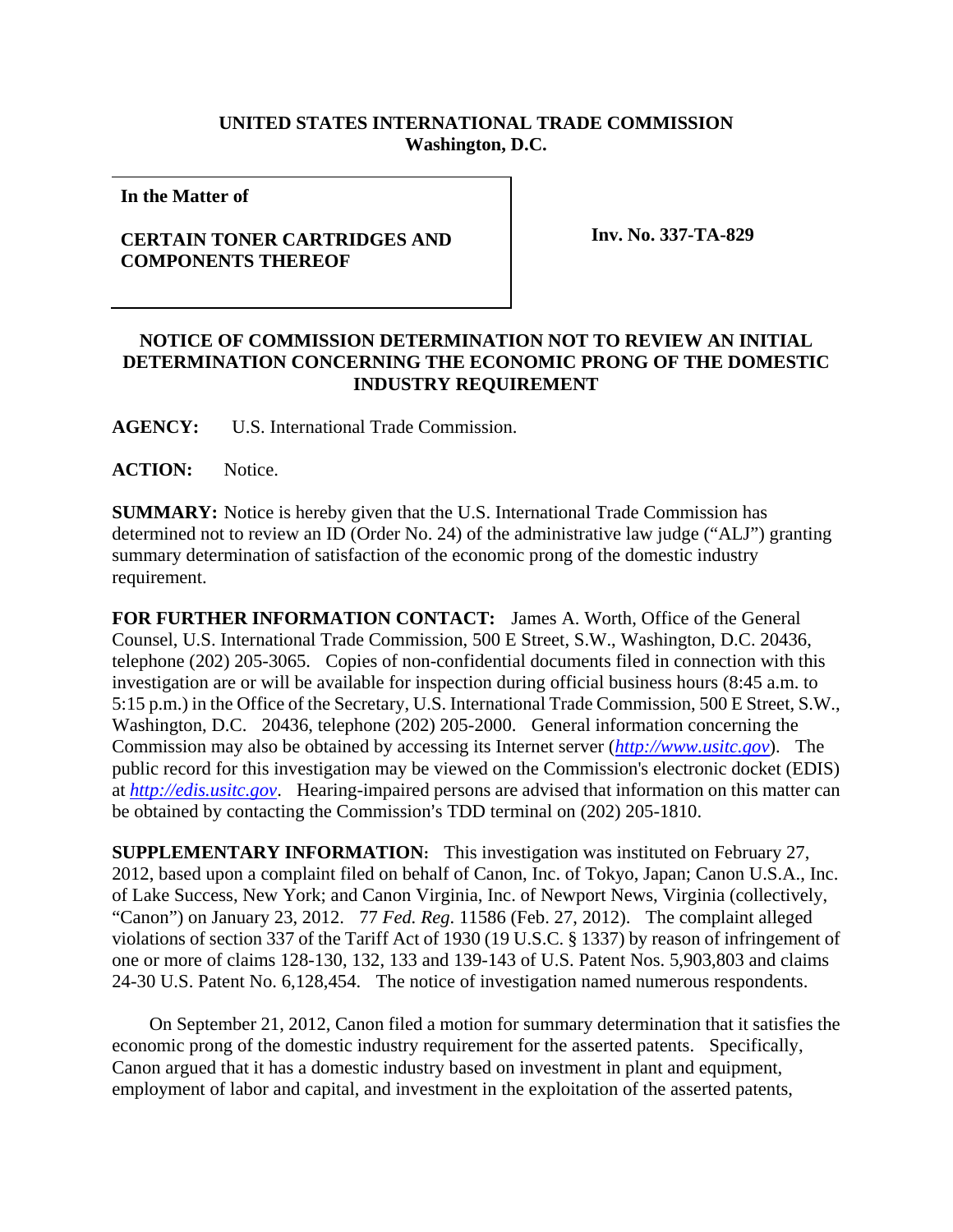## **UNITED STATES INTERNATIONAL TRADE COMMISSION Washington, D.C.**

**In the Matter of** 

## **CERTAIN TONER CARTRIDGES AND COMPONENTS THEREOF**

 **Inv. No. 337-TA-829** 

## **NOTICE OF COMMISSION DETERMINATION NOT TO REVIEW AN INITIAL DETERMINATION CONCERNING THE ECONOMIC PRONG OF THE DOMESTIC INDUSTRY REQUIREMENT**

**AGENCY:** U.S. International Trade Commission.

ACTION: Notice.

**SUMMARY:** Notice is hereby given that the U.S. International Trade Commission has determined not to review an ID (Order No. 24) of the administrative law judge ("ALJ") granting summary determination of satisfaction of the economic prong of the domestic industry requirement.

**FOR FURTHER INFORMATION CONTACT:** James A. Worth, Office of the General Counsel, U.S. International Trade Commission, 500 E Street, S.W., Washington, D.C. 20436, telephone (202) 205-3065. Copies of non-confidential documents filed in connection with this investigation are or will be available for inspection during official business hours (8:45 a.m. to 5:15 p.m.) in the Office of the Secretary, U.S. International Trade Commission, 500 E Street, S.W., Washington, D.C. 20436, telephone (202) 205-2000. General information concerning the Commission may also be obtained by accessing its Internet server (*http://www.usitc.gov*). The public record for this investigation may be viewed on the Commission's electronic docket (EDIS) at *http://edis.usitc.gov*. Hearing-impaired persons are advised that information on this matter can be obtained by contacting the Commission's TDD terminal on (202) 205-1810.

**SUPPLEMENTARY INFORMATION:** This investigation was instituted on February 27, 2012, based upon a complaint filed on behalf of Canon, Inc. of Tokyo, Japan; Canon U.S.A., Inc. of Lake Success, New York; and Canon Virginia, Inc. of Newport News, Virginia (collectively, "Canon") on January 23, 2012. 77 *Fed. Reg*. 11586 (Feb. 27, 2012). The complaint alleged violations of section 337 of the Tariff Act of 1930 (19 U.S.C. § 1337) by reason of infringement of one or more of claims 128-130, 132, 133 and 139-143 of U.S. Patent Nos. 5,903,803 and claims 24-30 U.S. Patent No. 6,128,454. The notice of investigation named numerous respondents.

 On September 21, 2012, Canon filed a motion for summary determination that it satisfies the economic prong of the domestic industry requirement for the asserted patents. Specifically, Canon argued that it has a domestic industry based on investment in plant and equipment, employment of labor and capital, and investment in the exploitation of the asserted patents,